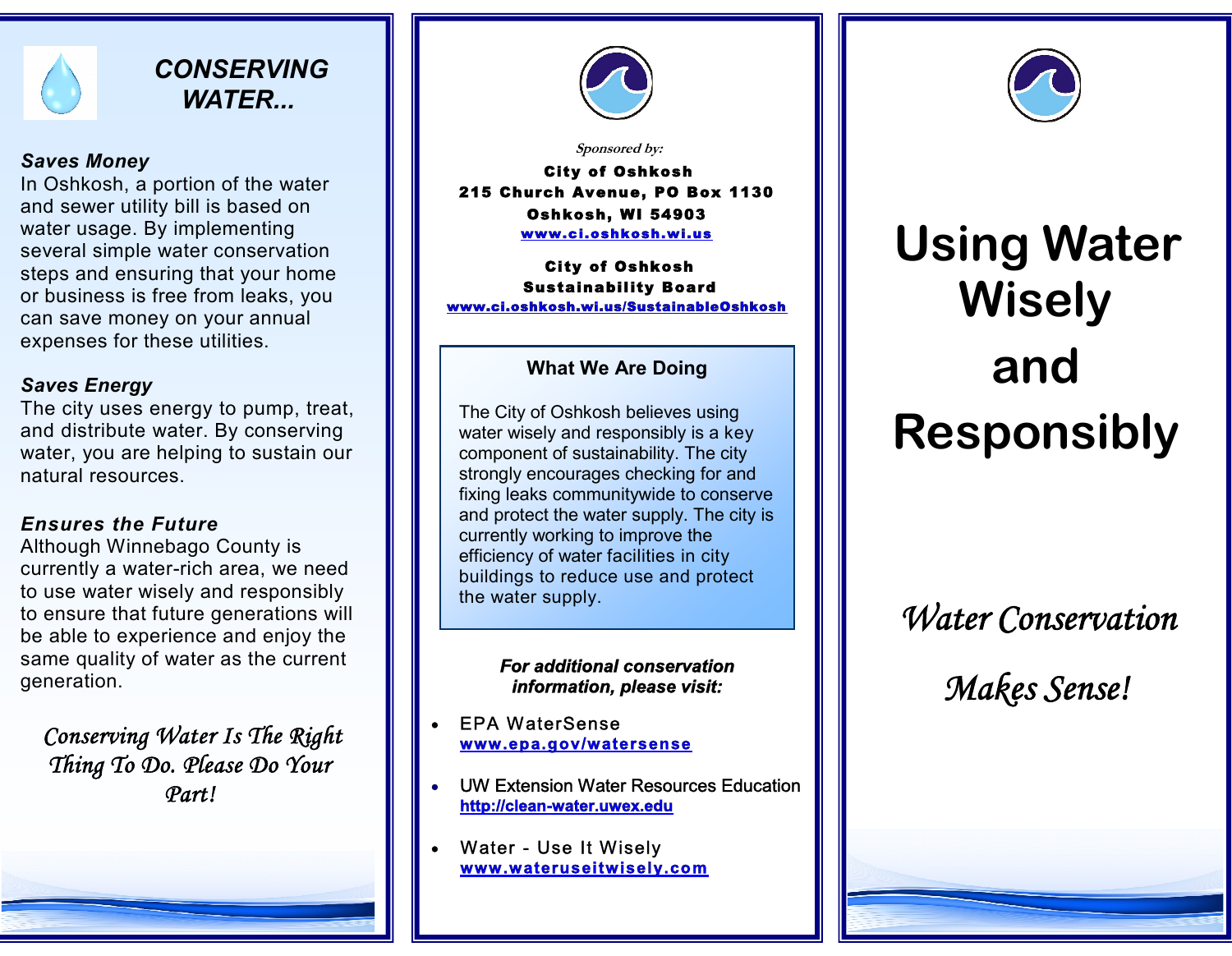

# *CONSERVING WATER...*

#### *Saves Money*

In Oshkosh, a portion of the water and sewer utility bill is based on water usage. By implementing several simple water conservation steps and ensuring that your home or business is free from leaks, you can save money on your annual expenses for these utilities.

## *Saves Energy*

The city uses energy to pump, treat, and distribute water. By conserving water, you are helping to sustain our natural resources.

# *Ensures the Future*

Although Winnebago County is currently a water-rich area, we need to use water wisely and responsibly to ensure that future generations will be able to experience and enjoy the same quality of water as the current generation.

*Conserving Water Is The Right Thing To Do. Please Do Your Part!*



*Sponsored by:*

**City of Oshkosh 215 Church Avenue, PO Box 1130 Oshkosh , W I 54903 www .c i .o shko sh .w i .u s**

**City of Oshkosh Sustainability Board www.ci.oshkosh.wi.us/SustainableOshkosh**

# **What We Are Doing**

The City of Oshkosh believes using water wisely and responsibly is a key component of sustainability. The city strongly encourages checking for and fixing leaks communitywide to conserve and protect the water supply. The city is currently working to improve the efficiency of water facilities in city buildings to reduce use and protect the water supply.

#### *For additional conservation information, please visit:*

**EPA WaterSense www.ep a.gov/w a te rsen se**

- UW Extension Water Resources Education **http://clean-water.uwex.edu**
- Water Use It Wisely **www.w a terusei twisely.com**



# **Using Water Wisely and Responsibly**

# *Water Conservation*

*Makes Sense!*